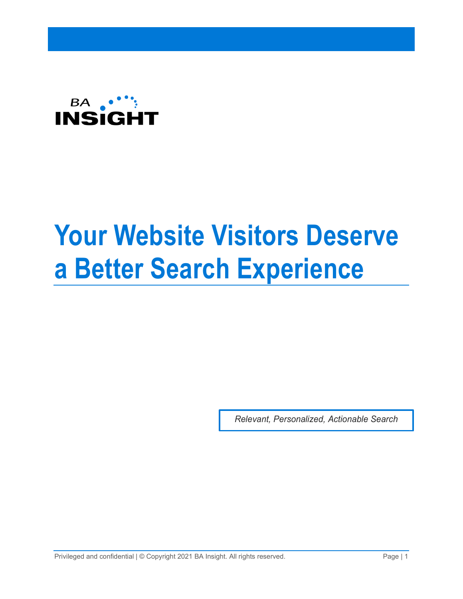

# **Your Website Visitors Deserve a Better Search Experience**

*Relevant, Personalized, Actionable Search*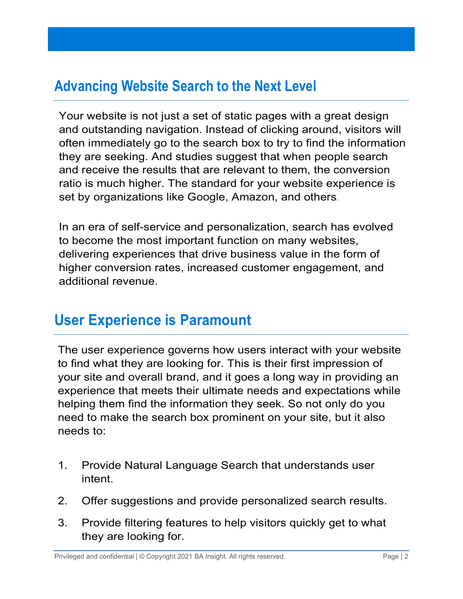# **Advancing Website Search to the Next Level**

Your website is not just a set of static pages with a great design and outstanding navigation. Instead of clicking around, visitors will often immediately go to the search box to try to find the information they are seeking. And studies suggest that when people search and receive the results that are relevant to them, the conversion ratio is much higher. The standard for your website experience is set by organizations like Google, Amazon, and others.

In an era of self-service and personalization, search has evolved to become the most important function on many websites, delivering experiences that drive business value in the form of higher conversion rates, increased customer engagement, and additional revenue.

# **User Experience is Paramount**

The user experience governs how users interact with your website to find what they are looking for. This is their first impression of your site and overall brand, and it goes a long way in providing an experience that meets their ultimate needs and expectations while helping them find the information they seek. So not only do you need to make the search box prominent on your site, but it also needs to:

- 1. Provide Natural Language Search that understands user intent.
- 2. Offer suggestions and provide personalized search results.
- 3. Provide filtering features to help visitors quickly get to what they are looking for.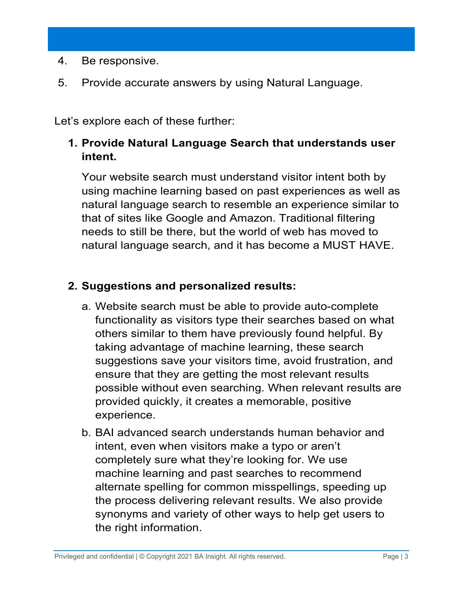- 4. Be responsive.
- 5. Provide accurate answers by using Natural Language.

Let's explore each of these further:

## **1. Provide Natural Language Search that understands user intent.**

Your website search must understand visitor intent both by using machine learning based on past experiences as well as natural language search to resemble an experience similar to that of sites like Google and Amazon. Traditional filtering needs to still be there, but the world of web has moved to natural language search, and it has become a MUST HAVE.

## **2. Suggestions and personalized results:**

- a. Website search must be able to provide auto-complete functionality as visitors type their searches based on what others similar to them have previously found helpful. By taking advantage of machine learning, these search suggestions save your visitors time, avoid frustration, and ensure that they are getting the most relevant results possible without even searching. When relevant results are provided quickly, it creates a memorable, positive experience.
- b. BAI advanced search understands human behavior and intent, even when visitors make a typo or aren't completely sure what they're looking for. We use machine learning and past searches to recommend alternate spelling for common misspellings, speeding up the process delivering relevant results. We also provide synonyms and variety of other ways to help get users to the right information.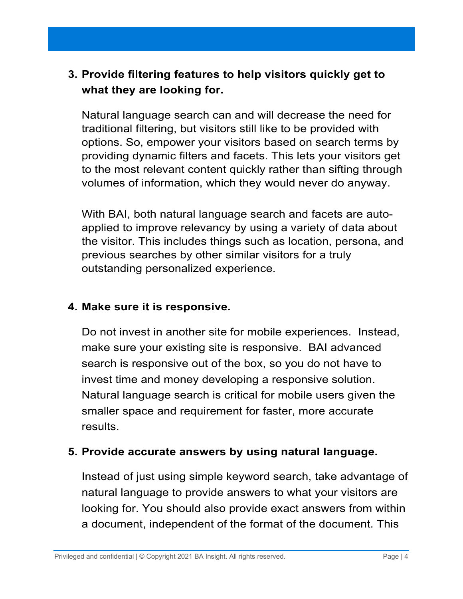## **3. Provide filtering features to help visitors quickly get to what they are looking for.**

Natural language search can and will decrease the need for traditional filtering, but visitors still like to be provided with options. So, empower your visitors based on search terms by providing dynamic filters and facets. This lets your visitors get to the most relevant content quickly rather than sifting through volumes of information, which they would never do anyway.

With BAI, both natural language search and facets are autoapplied to improve relevancy by using a variety of data about the visitor. This includes things such as location, persona, and previous searches by other similar visitors for a truly outstanding personalized experience.

#### **4. Make sure it is responsive.**

Do not invest in another site for mobile experiences. Instead, make sure your existing site is responsive. BAI advanced search is responsive out of the box, so you do not have to invest time and money developing a responsive solution. Natural language search is critical for mobile users given the smaller space and requirement for faster, more accurate results.

#### **5. Provide accurate answers by using natural language.**

Instead of just using simple keyword search, take advantage of natural language to provide answers to what your visitors are looking for. You should also provide exact answers from within a document, independent of the format of the document. This